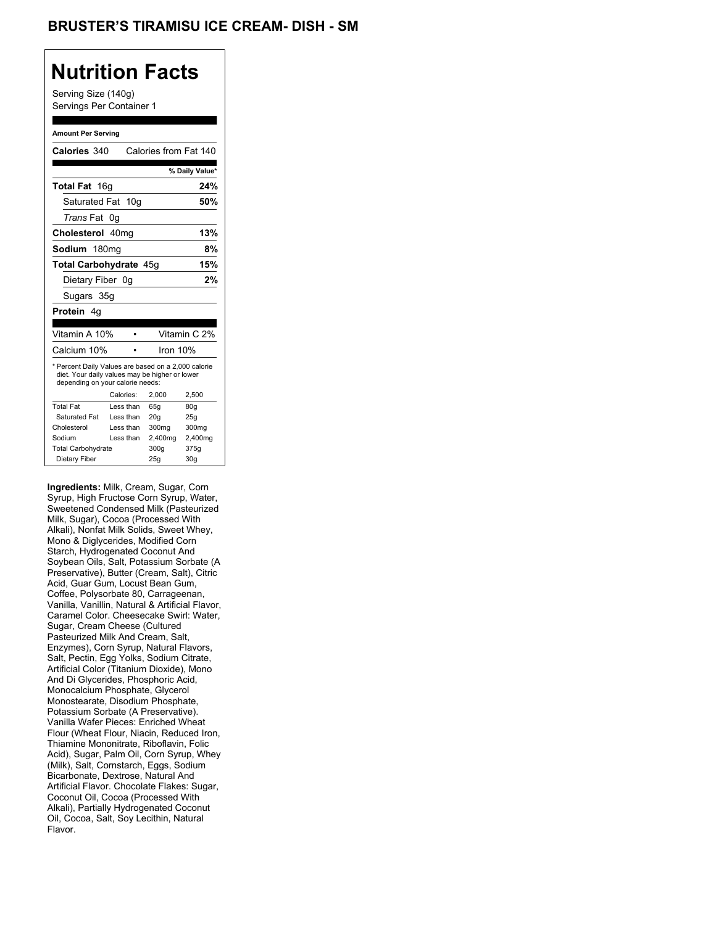## **Nutrition Facts**

Serving Size (140g) Servings Per Container 1

#### **Amount Per Serving**

| Calories 340                                                                                                                              |           |           | Calories from Fat 140 |                |
|-------------------------------------------------------------------------------------------------------------------------------------------|-----------|-----------|-----------------------|----------------|
|                                                                                                                                           |           |           |                       | % Daily Value* |
| <b>Total Fat</b> 16g                                                                                                                      |           |           |                       | 24%            |
| Saturated Fat 10g                                                                                                                         |           |           |                       | 50%            |
| <i>Trans</i> Fat                                                                                                                          | 0g        |           |                       |                |
| Cholesterol 40mg                                                                                                                          |           |           |                       | 13%            |
| Sodium 180mg                                                                                                                              |           |           |                       | 8%             |
| Total Carbohydrate 45g                                                                                                                    |           |           |                       | 15%            |
| Dietary Fiber 0g                                                                                                                          |           |           | 2%                    |                |
| Sugars 35g                                                                                                                                |           |           |                       |                |
| Protein 4q                                                                                                                                |           |           |                       |                |
|                                                                                                                                           |           |           |                       |                |
| Vitamin A 10%                                                                                                                             |           | $\bullet$ |                       | Vitamin C 2%   |
| Calcium 10%                                                                                                                               |           |           | Iron 10%              |                |
| * Percent Daily Values are based on a 2,000 calorie<br>diet. Your daily values may be higher or lower<br>depending on your calorie needs: |           |           |                       |                |
|                                                                                                                                           | Calories: |           | 2,000                 | 2,500          |
| <b>Total Fat</b>                                                                                                                          |           | Less than | 65q                   | 80q            |
| Saturated Fat                                                                                                                             |           | Less than | 20 <sub>g</sub>       | 25g            |
| Cholesterol                                                                                                                               |           | Less than | 300mg                 | 300mg          |
| Sodium                                                                                                                                    |           | Less than | 2,400mg               | 2,400mg        |
| <b>Total Carbohydrate</b>                                                                                                                 |           |           | 300g                  | 375g           |
| Dietary Fiber                                                                                                                             |           | 25g       | 30 <sub>q</sub>       |                |

**Ingredients:** Milk, Cream, Sugar, Corn Syrup, High Fructose Corn Syrup, Water, Sweetened Condensed Milk (Pasteurized Milk, Sugar), Cocoa (Processed With Alkali), Nonfat Milk Solids, Sweet Whey, Mono & Diglycerides, Modified Corn Starch, Hydrogenated Coconut And Soybean Oils, Salt, Potassium Sorbate (A Preservative), Butter (Cream, Salt), Citric Acid, Guar Gum, Locust Bean Gum, Coffee, Polysorbate 80, Carrageenan, Vanilla, Vanillin, Natural & Artificial Flavor, Caramel Color. Cheesecake Swirl: Water, Sugar, Cream Cheese (Cultured Pasteurized Milk And Cream, Salt, Enzymes), Corn Syrup, Natural Flavors, Salt, Pectin, Egg Yolks, Sodium Citrate, Artificial Color (Titanium Dioxide), Mono And Di Glycerides, Phosphoric Acid, Monocalcium Phosphate, Glycerol Monostearate, Disodium Phosphate, Potassium Sorbate (A Preservative). Vanilla Wafer Pieces: Enriched Wheat Flour (Wheat Flour, Niacin, Reduced Iron, Thiamine Mononitrate, Riboflavin, Folic Acid), Sugar, Palm Oil, Corn Syrup, Whey (Milk), Salt, Cornstarch, Eggs, Sodium Bicarbonate, Dextrose, Natural And Artificial Flavor. Chocolate Flakes: Sugar, Coconut Oil, Cocoa (Processed With Alkali), Partially Hydrogenated Coconut Oil, Cocoa, Salt, Soy Lecithin, Natural Flavor.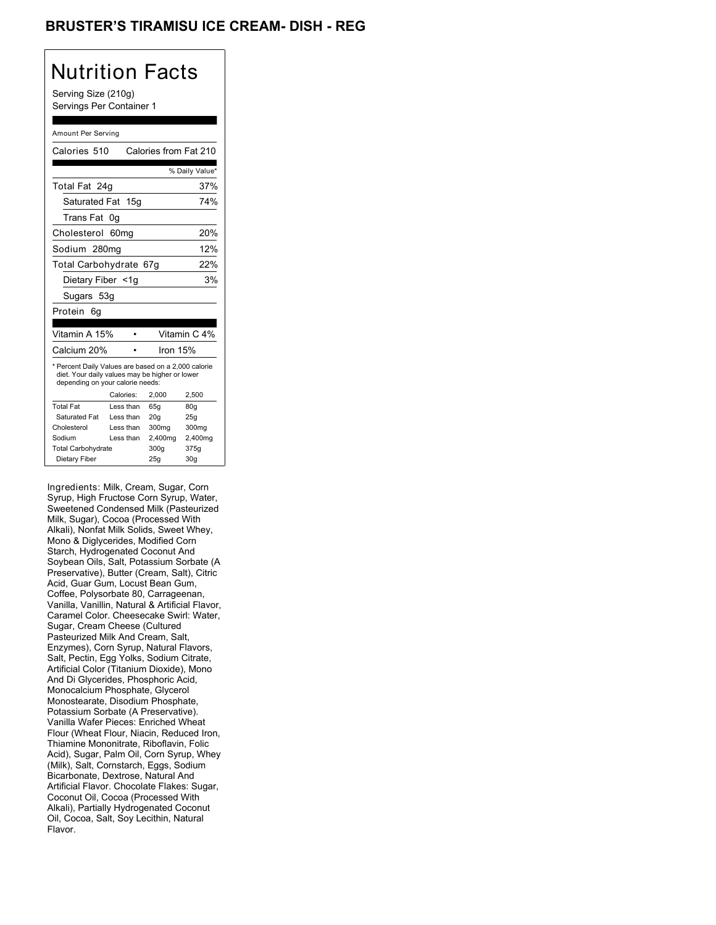### BRUSTER'S TIRAMISU ICE CREAM- DISH - REG

## Nutrition Facts

Serving Size (210g) Servings Per Container 1

#### Amount Per Serving

| Calories 510                                                                                                                              |                  |  |         | Calories from Fat 210 |
|-------------------------------------------------------------------------------------------------------------------------------------------|------------------|--|---------|-----------------------|
|                                                                                                                                           |                  |  |         | % Daily Value*        |
| Total Fat 24q                                                                                                                             |                  |  |         | 37%                   |
| Saturated Fat 15g                                                                                                                         |                  |  |         | 74%                   |
| <b>Trans Fat</b>                                                                                                                          | 0g               |  |         |                       |
| Cholesterol                                                                                                                               | 60 <sub>mq</sub> |  |         | 20%                   |
| Sodium 280mg                                                                                                                              |                  |  |         | 12%                   |
| Total Carbohydrate 67g                                                                                                                    |                  |  |         | 22%                   |
| Dietary Fiber <1g                                                                                                                         |                  |  |         | 3%                    |
| Sugars 53g                                                                                                                                |                  |  |         |                       |
| Protein<br>6g                                                                                                                             |                  |  |         |                       |
|                                                                                                                                           |                  |  |         |                       |
| Vitamin A 15%                                                                                                                             |                  |  |         | Vitamin C 4%          |
| Calcium 20%                                                                                                                               |                  |  |         | Iron 15%              |
| * Percent Daily Values are based on a 2,000 calorie<br>diet. Your daily values may be higher or lower<br>depending on your calorie needs: |                  |  |         |                       |
|                                                                                                                                           | Calories:        |  | 2.000   | 2,500                 |
| <b>Total Fat</b>                                                                                                                          | Less than        |  | 65g     | 80 <sub>g</sub>       |
| Saturated Fat                                                                                                                             | Less than        |  | 20q     | 25g                   |
| Cholesterol                                                                                                                               | Less than        |  | 300mg   | 300mg                 |
| Sodium                                                                                                                                    | Less than        |  | 2,400mg | 2,400mg               |
| <b>Total Carbohydrate</b>                                                                                                                 |                  |  | 300g    | 375g                  |
| Dietary Fiber                                                                                                                             |                  |  | 25q     | 30 <sub>q</sub>       |

Ingredients: Milk, Cream, Sugar, Corn Syrup, High Fructose Corn Syrup, Water, Sweetened Condensed Milk (Pasteurized Milk, Sugar), Cocoa (Processed With Alkali), Nonfat Milk Solids, Sweet Whey, Mono & Diglycerides, Modified Corn Starch, Hydrogenated Coconut And Soybean Oils, Salt, Potassium Sorbate (A Preservative), Butter (Cream, Salt), Citric Acid, Guar Gum, Locust Bean Gum, Coffee, Polysorbate 80, Carrageenan, Vanilla, Vanillin, Natural & Artificial Flavor, Caramel Color. Cheesecake Swirl: Water, Sugar, Cream Cheese (Cultured Pasteurized Milk And Cream, Salt, Enzymes), Corn Syrup, Natural Flavors, Salt, Pectin, Egg Yolks, Sodium Citrate, Artificial Color (Titanium Dioxide), Mono And Di Glycerides, Phosphoric Acid, Monocalcium Phosphate, Glycerol Monostearate, Disodium Phosphate, Potassium Sorbate (A Preservative). Vanilla Wafer Pieces: Enriched Wheat Flour (Wheat Flour, Niacin, Reduced Iron, Thiamine Mononitrate, Riboflavin, Folic Acid), Sugar, Palm Oil, Corn Syrup, Whey (Milk), Salt, Cornstarch, Eggs, Sodium Bicarbonate, Dextrose, Natural And Artificial Flavor. Chocolate Flakes: Sugar, Coconut Oil, Cocoa (Processed With Alkali), Partially Hydrogenated Coconut Oil, Cocoa, Salt, Soy Lecithin, Natural Flavor.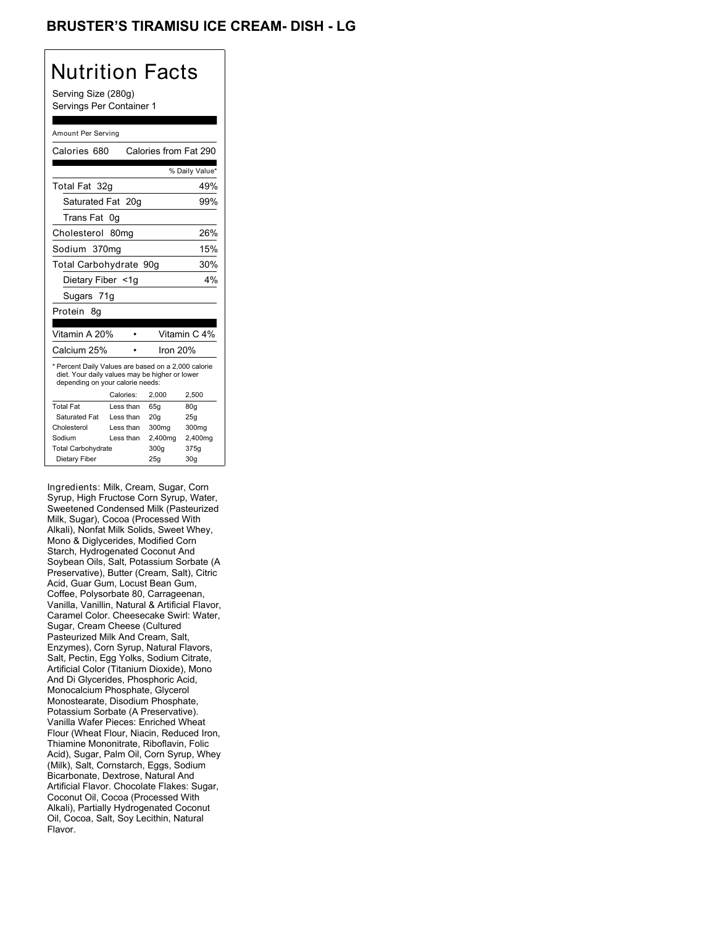### BRUSTER'S TIRAMISU ICE CREAM- DISH - LG

## Nutrition Facts

Serving Size (280g) Servings Per Container 1

#### Amount Per Serving

| Calories 680                                                                                                                              |                  | Calories from Fat 290 |                 |
|-------------------------------------------------------------------------------------------------------------------------------------------|------------------|-----------------------|-----------------|
|                                                                                                                                           |                  |                       | % Daily Value*  |
| Total Fat 32q                                                                                                                             |                  |                       | 49%             |
| Saturated Fat 20g                                                                                                                         |                  |                       | 99%             |
| Trans Fat                                                                                                                                 | 0g               |                       |                 |
| Cholesterol                                                                                                                               | 80 <sub>mq</sub> |                       | 26%             |
| Sodium 370mg                                                                                                                              |                  |                       | 15%             |
| Total Carbohydrate 90g                                                                                                                    |                  |                       | 30%             |
| Dietary Fiber <1g                                                                                                                         |                  |                       | 4%              |
| Sugars 71g                                                                                                                                |                  |                       |                 |
| Protein<br>8g                                                                                                                             |                  |                       |                 |
|                                                                                                                                           |                  |                       |                 |
| Vitamin A 20%                                                                                                                             |                  |                       | Vitamin C 4%    |
| Calcium 25%                                                                                                                               |                  | Iron 20%              |                 |
| * Percent Daily Values are based on a 2,000 calorie<br>diet. Your daily values may be higher or lower<br>depending on your calorie needs: |                  |                       |                 |
|                                                                                                                                           | Calories:        | 2,000                 | 2,500           |
| <b>Total Fat</b>                                                                                                                          | Less than        | 65q                   | 80q             |
| Saturated Fat                                                                                                                             | Less than        | 20q                   | 25q             |
| Cholesterol                                                                                                                               | Less than        | 300mg                 | 300mg           |
| Sodium                                                                                                                                    | Less than        | 2,400mg               | 2,400mg         |
| <b>Total Carbohydrate</b>                                                                                                                 |                  | 300g                  | 375g            |
| Dietary Fiber                                                                                                                             |                  | 25q                   | 30 <sub>q</sub> |

Ingredients: Milk, Cream, Sugar, Corn Syrup, High Fructose Corn Syrup, Water, Sweetened Condensed Milk (Pasteurized Milk, Sugar), Cocoa (Processed With Alkali), Nonfat Milk Solids, Sweet Whey, Mono & Diglycerides, Modified Corn Starch, Hydrogenated Coconut And Soybean Oils, Salt, Potassium Sorbate (A Preservative), Butter (Cream, Salt), Citric Acid, Guar Gum, Locust Bean Gum, Coffee, Polysorbate 80, Carrageenan, Vanilla, Vanillin, Natural & Artificial Flavor, Caramel Color. Cheesecake Swirl: Water, Sugar, Cream Cheese (Cultured Pasteurized Milk And Cream, Salt, Enzymes), Corn Syrup, Natural Flavors, Salt, Pectin, Egg Yolks, Sodium Citrate, Artificial Color (Titanium Dioxide), Mono And Di Glycerides, Phosphoric Acid, Monocalcium Phosphate, Glycerol Monostearate, Disodium Phosphate, Potassium Sorbate (A Preservative). Vanilla Wafer Pieces: Enriched Wheat Flour (Wheat Flour, Niacin, Reduced Iron, Thiamine Mononitrate, Riboflavin, Folic Acid), Sugar, Palm Oil, Corn Syrup, Whey (Milk), Salt, Cornstarch, Eggs, Sodium Bicarbonate, Dextrose, Natural And Artificial Flavor. Chocolate Flakes: Sugar, Coconut Oil, Cocoa (Processed With Alkali), Partially Hydrogenated Coconut Oil, Cocoa, Salt, Soy Lecithin, Natural Flavor.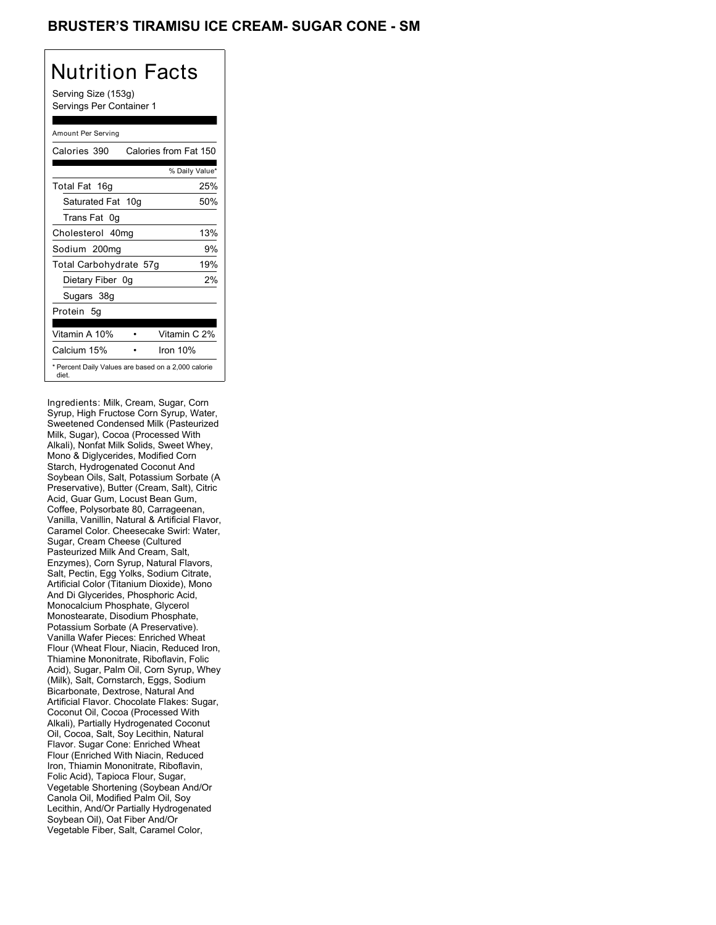## BRUSTER'S TIRAMISU ICE CREAM- SUGAR CONE - SM

### Nutrition Facts Serving Size (153g) Servings Per Container 1 Amount Per Serving

| Calories 390                                                 | Calories from Fat 150 |
|--------------------------------------------------------------|-----------------------|
|                                                              | % Daily Value*        |
| Total Fat 16g                                                | 25%                   |
| Saturated Fat 10g                                            | 50%                   |
| Trans Fat 0g                                                 |                       |
| Cholesterol 40mg                                             | 13%                   |
| Sodium 200mg                                                 | 9%                    |
| Total Carbohydrate 57g                                       | 19%                   |
| Dietary Fiber 0g                                             | 2%                    |
| Sugars 38g                                                   |                       |
| Protein 5g                                                   |                       |
| Vitamin A 10%                                                | Vitamin C 2%          |
| Calcium 15%                                                  | Iron 10%              |
| * Percent Daily Values are based on a 2,000 calorie<br>diet. |                       |

Ingredients: Milk, Cream, Sugar, Corn Syrup, High Fructose Corn Syrup, Water, Sweetened Condensed Milk (Pasteurized Milk, Sugar), Cocoa (Processed With Alkali), Nonfat Milk Solids, Sweet Whey, Mono & Diglycerides, Modified Corn Starch, Hydrogenated Coconut And Soybean Oils, Salt, Potassium Sorbate (A Preservative), Butter (Cream, Salt), Citric Acid, Guar Gum, Locust Bean Gum, Coffee, Polysorbate 80, Carrageenan, Vanilla, Vanillin, Natural & Artificial Flavor, Caramel Color. Cheesecake Swirl: Water, Sugar, Cream Cheese (Cultured Pasteurized Milk And Cream, Salt, Enzymes), Corn Syrup, Natural Flavors, Salt, Pectin, Egg Yolks, Sodium Citrate, Artificial Color (Titanium Dioxide), Mono And Di Glycerides, Phosphoric Acid, Monocalcium Phosphate, Glycerol Monostearate, Disodium Phosphate, Potassium Sorbate (A Preservative). Vanilla Wafer Pieces: Enriched Wheat Flour (Wheat Flour, Niacin, Reduced Iron, Thiamine Mononitrate, Riboflavin, Folic Acid), Sugar, Palm Oil, Corn Syrup, Whey (Milk), Salt, Cornstarch, Eggs, Sodium Bicarbonate, Dextrose, Natural And Artificial Flavor. Chocolate Flakes: Sugar, Coconut Oil, Cocoa (Processed With Alkali), Partially Hydrogenated Coconut Oil, Cocoa, Salt, Soy Lecithin, Natural Flavor. Sugar Cone: Enriched Wheat Flour (Enriched With Niacin, Reduced Iron, Thiamin Mononitrate, Riboflavin, Folic Acid), Tapioca Flour, Sugar, Vegetable Shortening (Soybean And/Or Canola Oil, Modified Palm Oil, Soy Lecithin, And/Or Partially Hydrogenated Soybean Oil), Oat Fiber And/Or Vegetable Fiber, Salt, Caramel Color,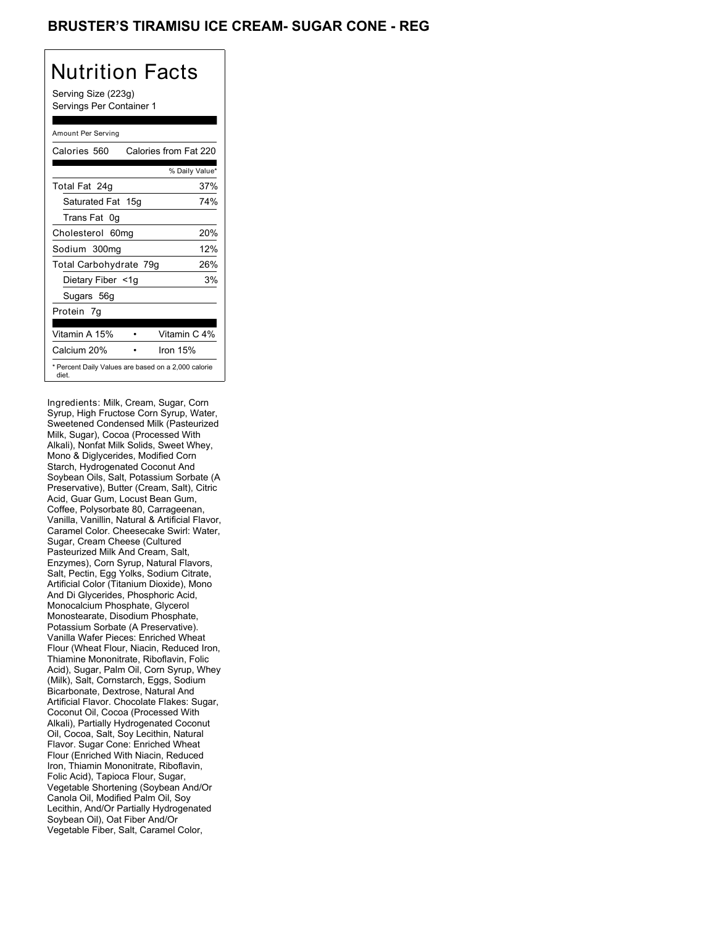## BRUSTER'S TIRAMISU ICE CREAM- SUGAR CONE - REG

## Nutrition Facts

Serving Size (223g) Servings Per Container 1

#### Amount Per Serving

| Calories 560           | Calories from Fat 220                               |
|------------------------|-----------------------------------------------------|
|                        | % Daily Value*                                      |
| Total Fat 24g          | 37%                                                 |
| Saturated Fat 15g      | 74%                                                 |
| Trans Fat 0g           |                                                     |
| Cholesterol 60mg       | 20%                                                 |
| Sodium 300mg           | 12%                                                 |
| Total Carbohydrate 79g | 26%                                                 |
| Dietary Fiber <1g      | 3%                                                  |
| Sugars 56g             |                                                     |
| Protein 7g             |                                                     |
|                        |                                                     |
| Vitamin A 15%          | Vitamin C 4%                                        |
| Calcium 20%            | Iron $15%$                                          |
| diet.                  | * Percent Daily Values are based on a 2,000 calorie |

Ingredients: Milk, Cream, Sugar, Corn Syrup, High Fructose Corn Syrup, Water, Sweetened Condensed Milk (Pasteurized Milk, Sugar), Cocoa (Processed With Alkali), Nonfat Milk Solids, Sweet Whey, Mono & Diglycerides, Modified Corn Starch, Hydrogenated Coconut And Soybean Oils, Salt, Potassium Sorbate (A Preservative), Butter (Cream, Salt), Citric Acid, Guar Gum, Locust Bean Gum, Coffee, Polysorbate 80, Carrageenan, Vanilla, Vanillin, Natural & Artificial Flavor, Caramel Color. Cheesecake Swirl: Water, Sugar, Cream Cheese (Cultured Pasteurized Milk And Cream, Salt, Enzymes), Corn Syrup, Natural Flavors, Salt, Pectin, Egg Yolks, Sodium Citrate, Artificial Color (Titanium Dioxide), Mono And Di Glycerides, Phosphoric Acid, Monocalcium Phosphate, Glycerol Monostearate, Disodium Phosphate, Potassium Sorbate (A Preservative). Vanilla Wafer Pieces: Enriched Wheat Flour (Wheat Flour, Niacin, Reduced Iron, Thiamine Mononitrate, Riboflavin, Folic Acid), Sugar, Palm Oil, Corn Syrup, Whey (Milk), Salt, Cornstarch, Eggs, Sodium Bicarbonate, Dextrose, Natural And Artificial Flavor. Chocolate Flakes: Sugar, Coconut Oil, Cocoa (Processed With Alkali), Partially Hydrogenated Coconut Oil, Cocoa, Salt, Soy Lecithin, Natural Flavor. Sugar Cone: Enriched Wheat Flour (Enriched With Niacin, Reduced Iron, Thiamin Mononitrate, Riboflavin, Folic Acid), Tapioca Flour, Sugar, Vegetable Shortening (Soybean And/Or Canola Oil, Modified Palm Oil, Soy Lecithin, And/Or Partially Hydrogenated Soybean Oil), Oat Fiber And/Or Vegetable Fiber, Salt, Caramel Color,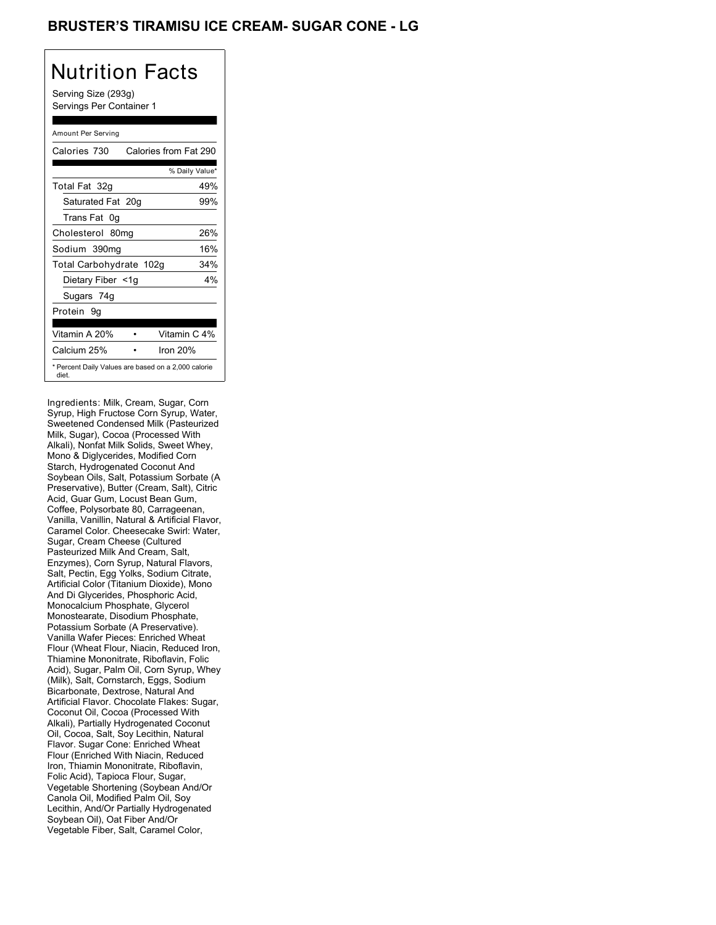## BRUSTER'S TIRAMISU ICE CREAM- SUGAR CONE - LG

# Nutrition Facts

Serving Size (293g) Servings Per Container 1

#### Amount Per Serving

| Calories 730            | Calories from Fat 290                               |
|-------------------------|-----------------------------------------------------|
|                         | % Daily Value*                                      |
| Total Fat 32g           | 49%                                                 |
| Saturated Fat 20g       | 99%                                                 |
| Trans Fat 0g            |                                                     |
| Cholesterol 80mg        | 26%                                                 |
| Sodium 390mg            | 16%                                                 |
| Total Carbohydrate 102g | 34%                                                 |
| Dietary Fiber <1g       | 4%                                                  |
| Sugars 74g              |                                                     |
| Protein 9q              |                                                     |
|                         |                                                     |
| Vitamin A 20%           | Vitamin C 4%                                        |
| Calcium 25%             | Iron $20%$                                          |
| diet.                   | * Percent Daily Values are based on a 2,000 calorie |

Ingredients: Milk, Cream, Sugar, Corn Syrup, High Fructose Corn Syrup, Water, Sweetened Condensed Milk (Pasteurized Milk, Sugar), Cocoa (Processed With Alkali), Nonfat Milk Solids, Sweet Whey, Mono & Diglycerides, Modified Corn Starch, Hydrogenated Coconut And Soybean Oils, Salt, Potassium Sorbate (A Preservative), Butter (Cream, Salt), Citric Acid, Guar Gum, Locust Bean Gum, Coffee, Polysorbate 80, Carrageenan, Vanilla, Vanillin, Natural & Artificial Flavor, Caramel Color. Cheesecake Swirl: Water, Sugar, Cream Cheese (Cultured Pasteurized Milk And Cream, Salt, Enzymes), Corn Syrup, Natural Flavors, Salt, Pectin, Egg Yolks, Sodium Citrate, Artificial Color (Titanium Dioxide), Mono And Di Glycerides, Phosphoric Acid, Monocalcium Phosphate, Glycerol Monostearate, Disodium Phosphate, Potassium Sorbate (A Preservative). Vanilla Wafer Pieces: Enriched Wheat Flour (Wheat Flour, Niacin, Reduced Iron, Thiamine Mononitrate, Riboflavin, Folic Acid), Sugar, Palm Oil, Corn Syrup, Whey (Milk), Salt, Cornstarch, Eggs, Sodium Bicarbonate, Dextrose, Natural And Artificial Flavor. Chocolate Flakes: Sugar, Coconut Oil, Cocoa (Processed With Alkali), Partially Hydrogenated Coconut Oil, Cocoa, Salt, Soy Lecithin, Natural Flavor. Sugar Cone: Enriched Wheat Flour (Enriched With Niacin, Reduced Iron, Thiamin Mononitrate, Riboflavin, Folic Acid), Tapioca Flour, Sugar, Vegetable Shortening (Soybean And/Or Canola Oil, Modified Palm Oil, Soy Lecithin, And/Or Partially Hydrogenated Soybean Oil), Oat Fiber And/Or Vegetable Fiber, Salt, Caramel Color,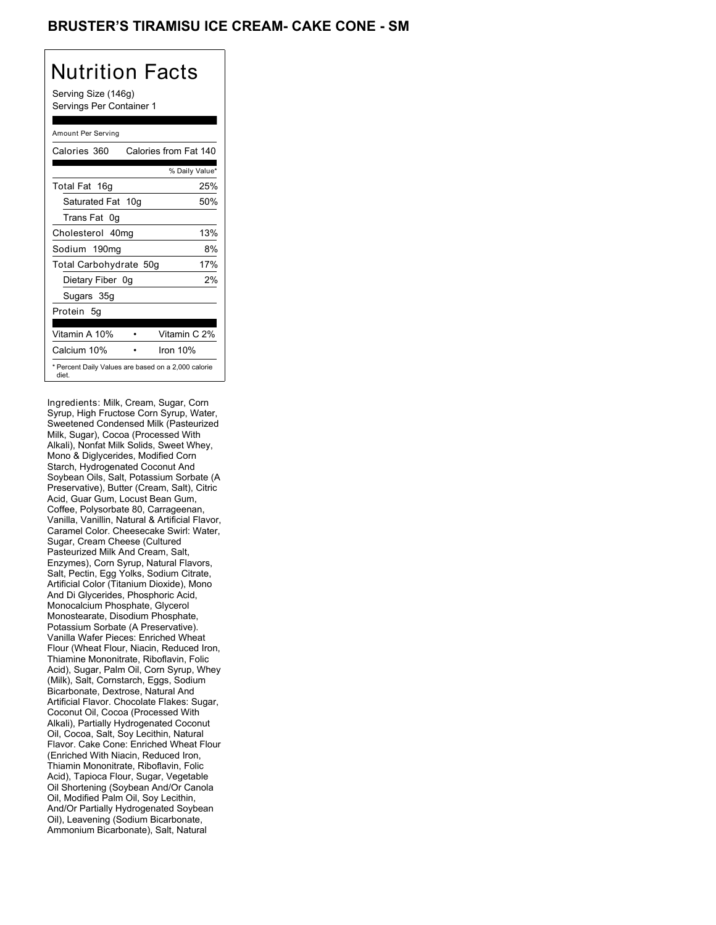## BRUSTER'S TIRAMISU ICE CREAM- CAKE CONE - SM

# Nutrition Facts

Serving Size (146g) Servings Per Container 1

#### Amount Per Serving

| Calories 360           | Calories from Fat 140                               |
|------------------------|-----------------------------------------------------|
|                        | % Daily Value*                                      |
| Total Fat 16g          | 25%                                                 |
| Saturated Fat 10g      | 50%                                                 |
| Trans Fat 0q           |                                                     |
| Cholesterol 40mg       | 13%                                                 |
| Sodium 190mg           | 8%                                                  |
| Total Carbohydrate 50g | 17%                                                 |
| Dietary Fiber 0g       | 2%                                                  |
| Sugars 35g             |                                                     |
| Protein 5q             |                                                     |
|                        |                                                     |
| Vitamin A 10%          | Vitamin C 2%                                        |
| Calcium 10%            | Iron $10%$                                          |
| diet.                  | * Percent Daily Values are based on a 2,000 calorie |

Ingredients: Milk, Cream, Sugar, Corn Syrup, High Fructose Corn Syrup, Water, Sweetened Condensed Milk (Pasteurized Milk, Sugar), Cocoa (Processed With Alkali), Nonfat Milk Solids, Sweet Whey, Mono & Diglycerides, Modified Corn Starch, Hydrogenated Coconut And Soybean Oils, Salt, Potassium Sorbate (A Preservative), Butter (Cream, Salt), Citric Acid, Guar Gum, Locust Bean Gum, Coffee, Polysorbate 80, Carrageenan, Vanilla, Vanillin, Natural & Artificial Flavor, Caramel Color. Cheesecake Swirl: Water, Sugar, Cream Cheese (Cultured Pasteurized Milk And Cream, Salt, Enzymes), Corn Syrup, Natural Flavors, Salt, Pectin, Egg Yolks, Sodium Citrate, Artificial Color (Titanium Dioxide), Mono And Di Glycerides, Phosphoric Acid, Monocalcium Phosphate, Glycerol Monostearate, Disodium Phosphate, Potassium Sorbate (A Preservative). Vanilla Wafer Pieces: Enriched Wheat Flour (Wheat Flour, Niacin, Reduced Iron, Thiamine Mononitrate, Riboflavin, Folic Acid), Sugar, Palm Oil, Corn Syrup, Whey (Milk), Salt, Cornstarch, Eggs, Sodium Bicarbonate, Dextrose, Natural And Artificial Flavor. Chocolate Flakes: Sugar, Coconut Oil, Cocoa (Processed With Alkali), Partially Hydrogenated Coconut Oil, Cocoa, Salt, Soy Lecithin, Natural Flavor. Cake Cone: Enriched Wheat Flour (Enriched With Niacin, Reduced Iron, Thiamin Mononitrate, Riboflavin, Folic Acid), Tapioca Flour, Sugar, Vegetable Oil Shortening (Soybean And/Or Canola Oil, Modified Palm Oil, Soy Lecithin, And/Or Partially Hydrogenated Soybean Oil), Leavening (Sodium Bicarbonate, Ammonium Bicarbonate), Salt, Natural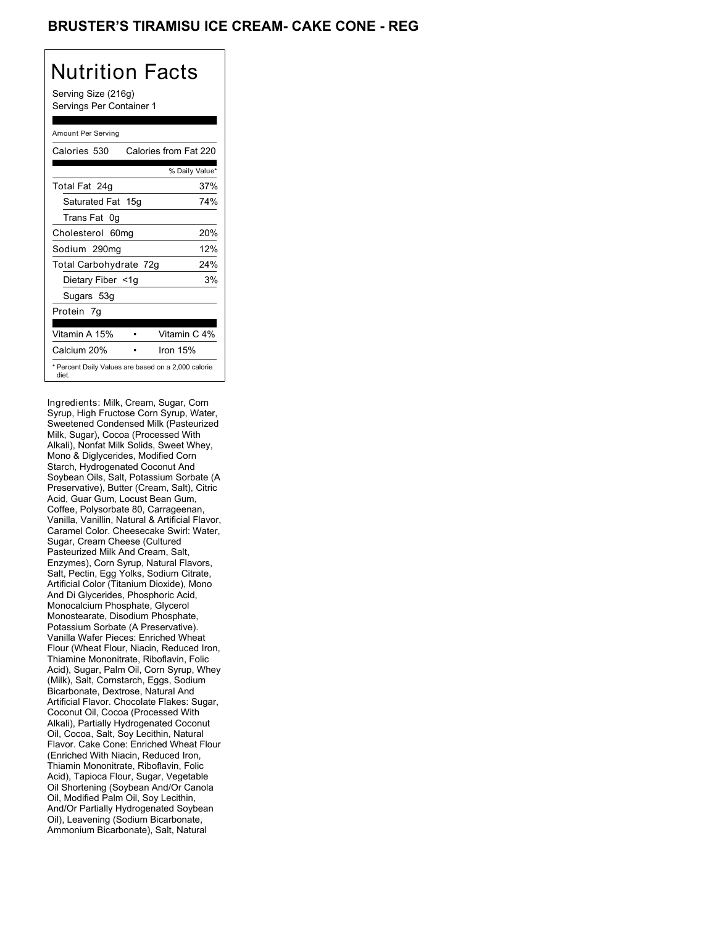## **BRUSTER'S TIRAMISU ICE CREAM- CAKE CONE - REG**

## Nutrition Facts

Serving Size (216g) Servings Per Container 1

#### Amount Per Serving

| Calories 530           | Calories from Fat 220                               |
|------------------------|-----------------------------------------------------|
|                        | % Daily Value*                                      |
| Total Fat 24g          | 37%                                                 |
| Saturated Fat 15g      | 74%                                                 |
| Trans Fat 0q           |                                                     |
| Cholesterol 60mg       | 20%                                                 |
| Sodium 290mg           | 12%                                                 |
| Total Carbohydrate 72g | 24%                                                 |
| Dietary Fiber <1g      | 3%                                                  |
| Sugars 53g             |                                                     |
| Protein 7q             |                                                     |
|                        |                                                     |
| Vitamin A 15%          | Vitamin C 4%                                        |
| Calcium 20%            | Iron $15%$                                          |
| diet.                  | * Percent Daily Values are based on a 2,000 calorie |

Ingredients: Milk, Cream, Sugar, Corn Syrup, High Fructose Corn Syrup, Water, Sweetened Condensed Milk (Pasteurized Milk, Sugar), Cocoa (Processed With Alkali), Nonfat Milk Solids, Sweet Whey, Mono & Diglycerides, Modified Corn Starch, Hydrogenated Coconut And Soybean Oils, Salt, Potassium Sorbate (A Preservative), Butter (Cream, Salt), Citric Acid, Guar Gum, Locust Bean Gum, Coffee, Polysorbate 80, Carrageenan, Vanilla, Vanillin, Natural & Artificial Flavor, Caramel Color. Cheesecake Swirl: Water, Sugar, Cream Cheese (Cultured Pasteurized Milk And Cream, Salt, Enzymes), Corn Syrup, Natural Flavors, Salt, Pectin, Egg Yolks, Sodium Citrate, Artificial Color (Titanium Dioxide), Mono And Di Glycerides, Phosphoric Acid, Monocalcium Phosphate, Glycerol Monostearate, Disodium Phosphate, Potassium Sorbate (A Preservative). Vanilla Wafer Pieces: Enriched Wheat Flour (Wheat Flour, Niacin, Reduced Iron, Thiamine Mononitrate, Riboflavin, Folic Acid), Sugar, Palm Oil, Corn Syrup, Whey (Milk), Salt, Cornstarch, Eggs, Sodium Bicarbonate, Dextrose, Natural And Artificial Flavor. Chocolate Flakes: Sugar, Coconut Oil, Cocoa (Processed With Alkali), Partially Hydrogenated Coconut Oil, Cocoa, Salt, Soy Lecithin, Natural Flavor. Cake Cone: Enriched Wheat Flour (Enriched With Niacin, Reduced Iron, Thiamin Mononitrate, Riboflavin, Folic Acid), Tapioca Flour, Sugar, Vegetable Oil Shortening (Soybean And/Or Canola Oil, Modified Palm Oil, Soy Lecithin, And/Or Partially Hydrogenated Soybean Oil), Leavening (Sodium Bicarbonate, Ammonium Bicarbonate), Salt, Natural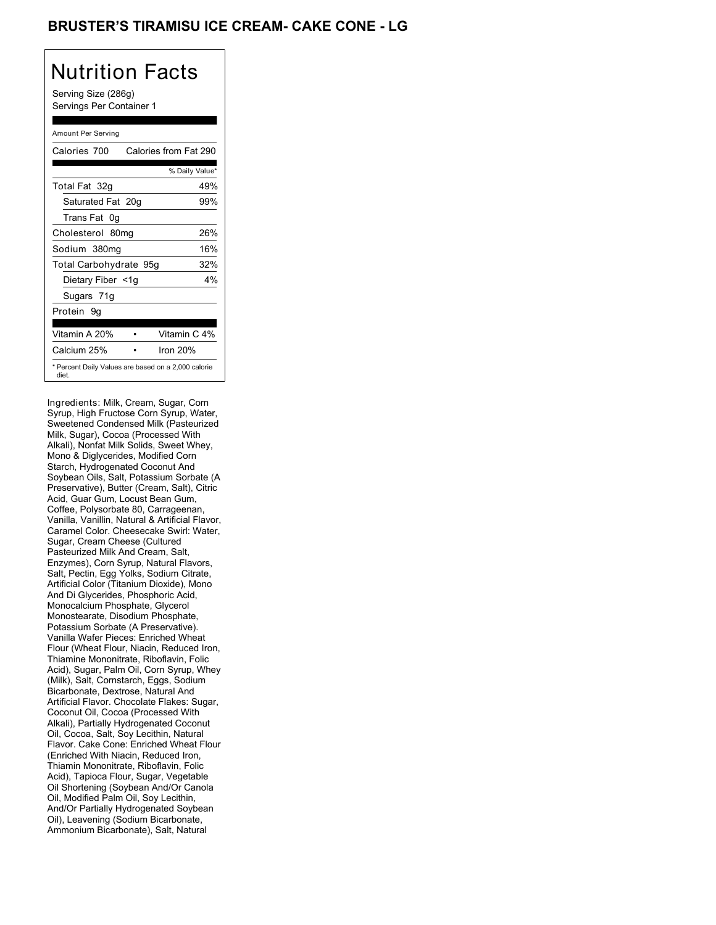## BRUSTER'S TIRAMISU ICE CREAM- CAKE CONE - LG

# Nutrition Facts

Serving Size (286g) Servings Per Container 1

#### Amount Per Serving

| Calories 700           | Calories from Fat 290                               |
|------------------------|-----------------------------------------------------|
|                        | % Daily Value*                                      |
| Total Fat 32g          | 49%                                                 |
| Saturated Fat 20g      | 99%                                                 |
| Trans Fat 0g           |                                                     |
| Cholesterol 80mg       | 26%                                                 |
| Sodium 380mg           | 16%                                                 |
| Total Carbohydrate 95g | 32%                                                 |
| Dietary Fiber <1g      | 4%                                                  |
| Sugars 71g             |                                                     |
| Protein 9q             |                                                     |
|                        |                                                     |
| Vitamin A 20%          | Vitamin C 4%                                        |
| Calcium 25%            | Iron $20%$                                          |
| diet.                  | * Percent Daily Values are based on a 2,000 calorie |

Ingredients: Milk, Cream, Sugar, Corn Syrup, High Fructose Corn Syrup, Water, Sweetened Condensed Milk (Pasteurized Milk, Sugar), Cocoa (Processed With Alkali), Nonfat Milk Solids, Sweet Whey, Mono & Diglycerides, Modified Corn Starch, Hydrogenated Coconut And Soybean Oils, Salt, Potassium Sorbate (A Preservative), Butter (Cream, Salt), Citric Acid, Guar Gum, Locust Bean Gum, Coffee, Polysorbate 80, Carrageenan, Vanilla, Vanillin, Natural & Artificial Flavor, Caramel Color. Cheesecake Swirl: Water, Sugar, Cream Cheese (Cultured Pasteurized Milk And Cream, Salt, Enzymes), Corn Syrup, Natural Flavors, Salt, Pectin, Egg Yolks, Sodium Citrate, Artificial Color (Titanium Dioxide), Mono And Di Glycerides, Phosphoric Acid, Monocalcium Phosphate, Glycerol Monostearate, Disodium Phosphate, Potassium Sorbate (A Preservative). Vanilla Wafer Pieces: Enriched Wheat Flour (Wheat Flour, Niacin, Reduced Iron, Thiamine Mononitrate, Riboflavin, Folic Acid), Sugar, Palm Oil, Corn Syrup, Whey (Milk), Salt, Cornstarch, Eggs, Sodium Bicarbonate, Dextrose, Natural And Artificial Flavor. Chocolate Flakes: Sugar, Coconut Oil, Cocoa (Processed With Alkali), Partially Hydrogenated Coconut Oil, Cocoa, Salt, Soy Lecithin, Natural Flavor. Cake Cone: Enriched Wheat Flour (Enriched With Niacin, Reduced Iron, Thiamin Mononitrate, Riboflavin, Folic Acid), Tapioca Flour, Sugar, Vegetable Oil Shortening (Soybean And/Or Canola Oil, Modified Palm Oil, Soy Lecithin, And/Or Partially Hydrogenated Soybean Oil), Leavening (Sodium Bicarbonate, Ammonium Bicarbonate), Salt, Natural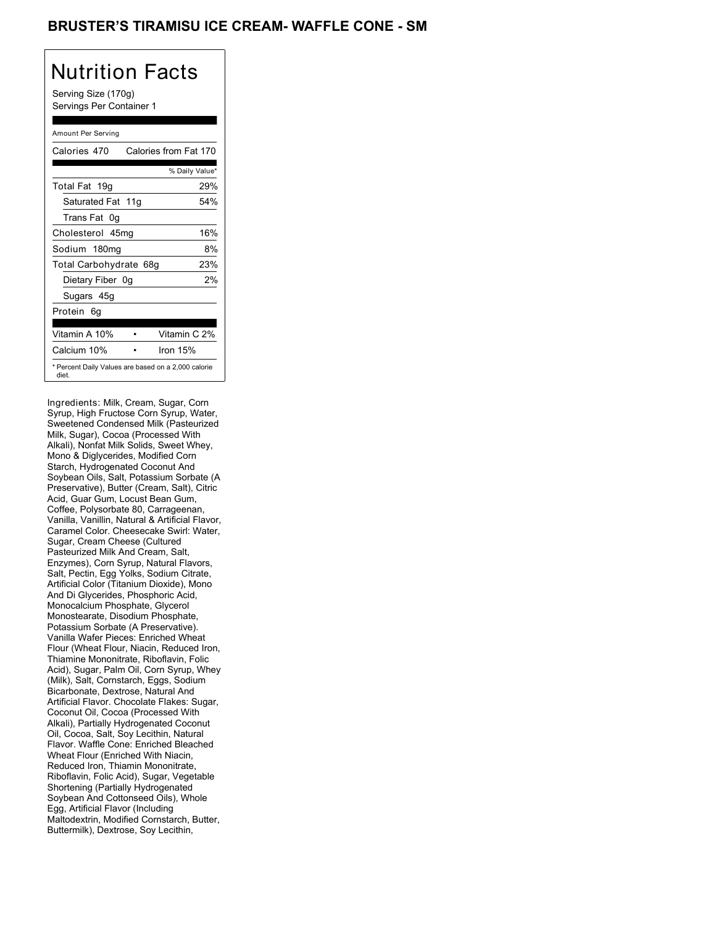## BRUSTER'S TIRAMISU ICE CREAM- WAFFLE CONE - SM

## Nutrition Facts

Serving Size (170g) Servings Per Container 1

#### Amount Per Serving

| Calories 470           | Calories from Fat 170                               |
|------------------------|-----------------------------------------------------|
|                        | % Daily Value*                                      |
| Total Fat 19g          | 29%                                                 |
| Saturated Fat 11g      | 54%                                                 |
| Trans Fat 0q           |                                                     |
| Cholesterol 45mg       | 16%                                                 |
| Sodium 180mg           | 8%                                                  |
| Total Carbohydrate 68g | 23%                                                 |
| Dietary Fiber 0g       | 2%                                                  |
| Sugars 45g             |                                                     |
| Protein 6q             |                                                     |
| Vitamin A 10%          | Vitamin C 2%                                        |
|                        |                                                     |
| Calcium 10%            | Iron $15%$                                          |
| diet.                  | * Percent Daily Values are based on a 2,000 calorie |

Ingredients: Milk, Cream, Sugar, Corn Syrup, High Fructose Corn Syrup, Water, Sweetened Condensed Milk (Pasteurized Milk, Sugar), Cocoa (Processed With Alkali), Nonfat Milk Solids, Sweet Whey, Mono & Diglycerides, Modified Corn Starch, Hydrogenated Coconut And Soybean Oils, Salt, Potassium Sorbate (A Preservative), Butter (Cream, Salt), Citric Acid, Guar Gum, Locust Bean Gum, Coffee, Polysorbate 80, Carrageenan, Vanilla, Vanillin, Natural & Artificial Flavor, Caramel Color. Cheesecake Swirl: Water, Sugar, Cream Cheese (Cultured Pasteurized Milk And Cream, Salt, Enzymes), Corn Syrup, Natural Flavors, Salt, Pectin, Egg Yolks, Sodium Citrate, Artificial Color (Titanium Dioxide), Mono And Di Glycerides, Phosphoric Acid, Monocalcium Phosphate, Glycerol Monostearate, Disodium Phosphate, Potassium Sorbate (A Preservative). Vanilla Wafer Pieces: Enriched Wheat Flour (Wheat Flour, Niacin, Reduced Iron, Thiamine Mononitrate, Riboflavin, Folic Acid), Sugar, Palm Oil, Corn Syrup, Whey (Milk), Salt, Cornstarch, Eggs, Sodium Bicarbonate, Dextrose, Natural And Artificial Flavor. Chocolate Flakes: Sugar, Coconut Oil, Cocoa (Processed With Alkali), Partially Hydrogenated Coconut Oil, Cocoa, Salt, Soy Lecithin, Natural Flavor. Waffle Cone: Enriched Bleached Wheat Flour (Enriched With Niacin, Reduced Iron, Thiamin Mononitrate, Riboflavin, Folic Acid), Sugar, Vegetable Shortening (Partially Hydrogenated Soybean And Cottonseed Oils), Whole Egg, Artificial Flavor (Including Maltodextrin, Modified Cornstarch, Butter, Buttermilk), Dextrose, Soy Lecithin,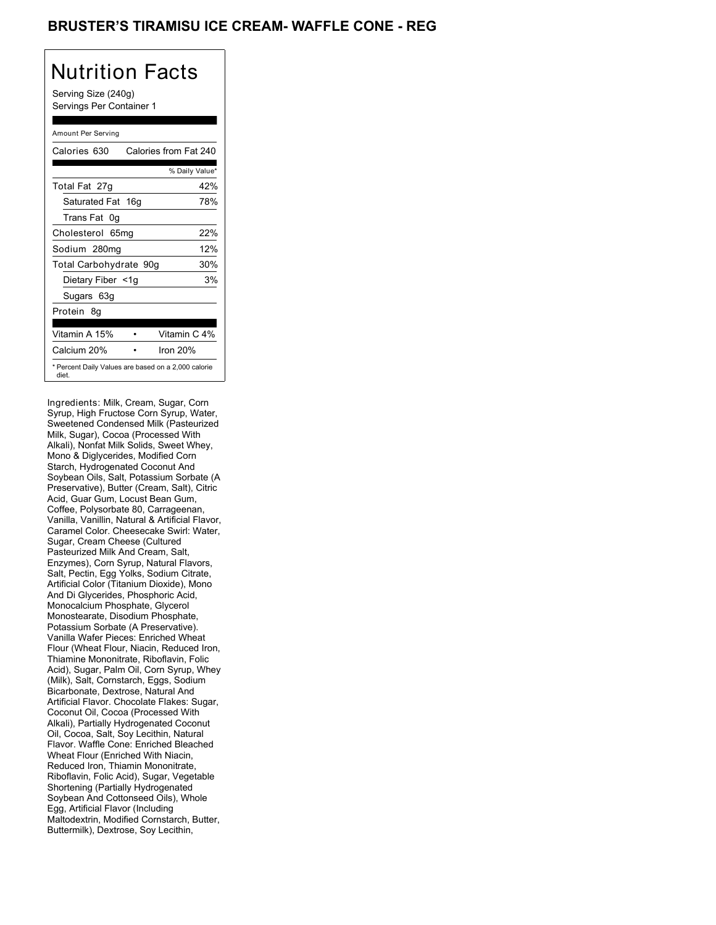## BRUSTER'S TIRAMISU ICE CREAM- WAFFLE CONE - REG

## Nutrition Facts

Serving Size (240g) Servings Per Container 1

#### Amount Per Serving

| Calories 630                                                 |  | Calories from Fat 240 |     |
|--------------------------------------------------------------|--|-----------------------|-----|
|                                                              |  | % Daily Value*        |     |
| Total Fat 27g                                                |  |                       | 42% |
| Saturated Fat 16g                                            |  |                       | 78% |
| Trans Fat 0q                                                 |  |                       |     |
| Cholesterol 65mg                                             |  |                       | 22% |
| Sodium 280mg                                                 |  |                       | 12% |
| Total Carbohydrate 90g                                       |  |                       | 30% |
| Dietary Fiber <1g                                            |  |                       | 3%  |
| Sugars 63g                                                   |  |                       |     |
| Protein 8q                                                   |  |                       |     |
|                                                              |  |                       |     |
| Vitamin A 15%                                                |  | Vitamin C 4%          |     |
| Calcium 20%                                                  |  | Iron $20%$            |     |
| * Percent Daily Values are based on a 2,000 calorie<br>diet. |  |                       |     |

Ingredients: Milk, Cream, Sugar, Corn Syrup, High Fructose Corn Syrup, Water, Sweetened Condensed Milk (Pasteurized Milk, Sugar), Cocoa (Processed With Alkali), Nonfat Milk Solids, Sweet Whey, Mono & Diglycerides, Modified Corn Starch, Hydrogenated Coconut And Soybean Oils, Salt, Potassium Sorbate (A Preservative), Butter (Cream, Salt), Citric Acid, Guar Gum, Locust Bean Gum, Coffee, Polysorbate 80, Carrageenan, Vanilla, Vanillin, Natural & Artificial Flavor, Caramel Color. Cheesecake Swirl: Water, Sugar, Cream Cheese (Cultured Pasteurized Milk And Cream, Salt, Enzymes), Corn Syrup, Natural Flavors, Salt, Pectin, Egg Yolks, Sodium Citrate, Artificial Color (Titanium Dioxide), Mono And Di Glycerides, Phosphoric Acid, Monocalcium Phosphate, Glycerol Monostearate, Disodium Phosphate, Potassium Sorbate (A Preservative). Vanilla Wafer Pieces: Enriched Wheat Flour (Wheat Flour, Niacin, Reduced Iron, Thiamine Mononitrate, Riboflavin, Folic Acid), Sugar, Palm Oil, Corn Syrup, Whey (Milk), Salt, Cornstarch, Eggs, Sodium Bicarbonate, Dextrose, Natural And Artificial Flavor. Chocolate Flakes: Sugar, Coconut Oil, Cocoa (Processed With Alkali), Partially Hydrogenated Coconut Oil, Cocoa, Salt, Soy Lecithin, Natural Flavor. Waffle Cone: Enriched Bleached Wheat Flour (Enriched With Niacin, Reduced Iron, Thiamin Mononitrate, Riboflavin, Folic Acid), Sugar, Vegetable Shortening (Partially Hydrogenated Soybean And Cottonseed Oils), Whole Egg, Artificial Flavor (Including Maltodextrin, Modified Cornstarch, Butter, Buttermilk), Dextrose, Soy Lecithin,